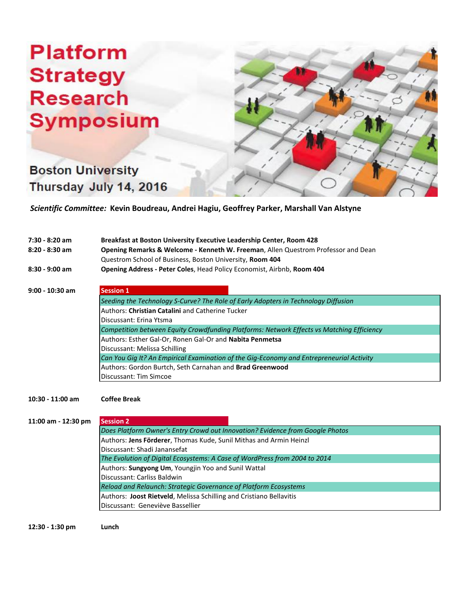## **Platform Strategy Research Symposium**

**Boston University** 

Thursday July 14, 2016



 *Scientific Committee:* **Kevin Boudreau, Andrei Hagiu, Geoffrey Parker, Marshall Van Alstyne**

| $7:30 - 8:20$ am    | Breakfast at Boston University Executive Leadership Center, Room 428                      |
|---------------------|-------------------------------------------------------------------------------------------|
| $8:20 - 8:30$ am    | Opening Remarks & Welcome - Kenneth W. Freeman, Allen Questrom Professor and Dean         |
|                     | Questrom School of Business, Boston University, Room 404                                  |
| 8:30 - 9:00 am      | Opening Address - Peter Coles, Head Policy Economist, Airbnb, Room 404                    |
|                     |                                                                                           |
| $9:00 - 10:30$ am   | <b>Session 1</b>                                                                          |
|                     | Seeding the Technology S-Curve? The Role of Early Adopters in Technology Diffusion        |
|                     | Authors: Christian Catalini and Catherine Tucker                                          |
|                     | Discussant: Erina Ytsma                                                                   |
|                     | Competition between Equity Crowdfunding Platforms: Network Effects vs Matching Efficiency |
|                     | Authors: Esther Gal-Or, Ronen Gal-Or and Nabita Penmetsa                                  |
|                     | Discussant: Melissa Schilling                                                             |
|                     | Can You Gig It? An Empirical Examination of the Gig-Economy and Entrepreneurial Activity  |
|                     | Authors: Gordon Burtch, Seth Carnahan and Brad Greenwood                                  |
|                     | Discussant: Tim Simcoe                                                                    |
| $10:30 - 11:00$ am  | <b>Coffee Break</b>                                                                       |
|                     |                                                                                           |
| 11:00 am - 12:30 pm | <b>Session 2</b>                                                                          |
|                     | Does Platform Owner's Entry Crowd out Innovation? Evidence from Google Photos             |
|                     | Authors: Jens Förderer, Thomas Kude, Sunil Mithas and Armin Heinzl                        |
|                     | Discussant: Shadi Janansefat                                                              |
|                     | The Evolution of Digital Ecosystems: A Case of WordPress from 2004 to 2014                |
|                     | Authors: Sungyong Um, Youngjin Yoo and Sunil Wattal                                       |
|                     | Discussant: Carliss Baldwin                                                               |
|                     | Reload and Relaunch: Strategic Governance of Platform Ecosystems                          |
|                     | Authors: Joost Rietveld, Melissa Schilling and Cristiano Bellavitis                       |

**12:30 - 1:30 pm Lunch**

Discussant: Geneviève Bassellier